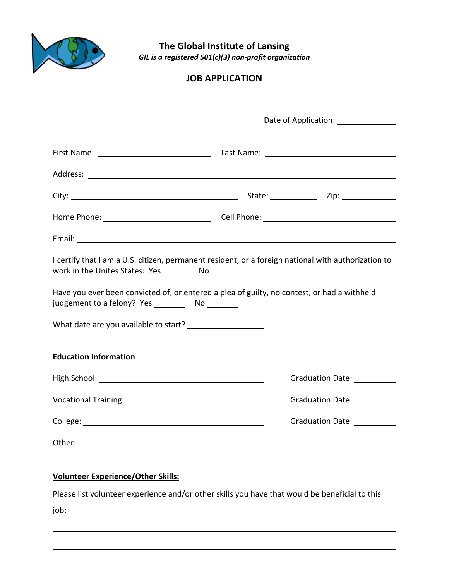

**The Global Institute of Lansing** *GIL is a registered 501(c)(3) non-profit organization*

## **JOB APPLICATION**

|                                                                                                                                                              | Date of Application: ________________ |                              |  |
|--------------------------------------------------------------------------------------------------------------------------------------------------------------|---------------------------------------|------------------------------|--|
|                                                                                                                                                              |                                       |                              |  |
|                                                                                                                                                              |                                       |                              |  |
|                                                                                                                                                              |                                       |                              |  |
|                                                                                                                                                              |                                       |                              |  |
|                                                                                                                                                              |                                       |                              |  |
| I certify that I am a U.S. citizen, permanent resident, or a foreign national with authorization to<br>work in the Unites States: Yes __________ No ________ |                                       |                              |  |
| Have you ever been convicted of, or entered a plea of guilty, no contest, or had a withheld                                                                  |                                       |                              |  |
|                                                                                                                                                              |                                       |                              |  |
| <b>Education Information</b>                                                                                                                                 |                                       |                              |  |
|                                                                                                                                                              |                                       | Graduation Date: 1988        |  |
|                                                                                                                                                              |                                       | Graduation Date: 1988        |  |
|                                                                                                                                                              |                                       | Graduation Date: ___________ |  |
|                                                                                                                                                              |                                       |                              |  |
| <b>Volunteer Experience/Other Skills:</b>                                                                                                                    |                                       |                              |  |
| Please list volunteer experience and/or other skills you have that would be beneficial to this                                                               |                                       |                              |  |
| job:                                                                                                                                                         |                                       |                              |  |
|                                                                                                                                                              |                                       |                              |  |